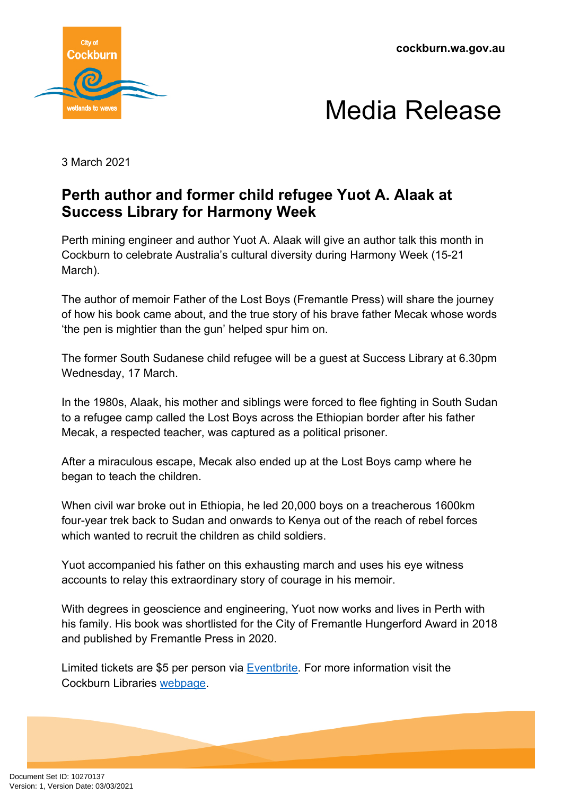**cockburn.wa.gov.au**





3 March 2021

## **Perth author and former child refugee Yuot A. Alaak at Success Library for Harmony Week**

Perth mining engineer and author Yuot A. Alaak will give an author talk this month in Cockburn to celebrate Australia's cultural diversity during Harmony Week (15-21 March).

The author of memoir Father of the Lost Boys (Fremantle Press) will share the journey of how his book came about, and the true story of his brave father Mecak whose words 'the pen is mightier than the gun' helped spur him on.

The former South Sudanese child refugee will be a guest at Success Library at 6.30pm Wednesday, 17 March.

In the 1980s, Alaak, his mother and siblings were forced to flee fighting in South Sudan to a refugee camp called the Lost Boys across the Ethiopian border after his father Mecak, a respected teacher, was captured as a political prisoner.

After a miraculous escape, Mecak also ended up at the Lost Boys camp where he began to teach the children.

When civil war broke out in Ethiopia, he led 20,000 boys on a treacherous 1600km four-year trek back to Sudan and onwards to Kenya out of the reach of rebel forces which wanted to recruit the children as child soldiers.

Yuot accompanied his father on this exhausting march and uses his eye witness accounts to relay this extraordinary story of courage in his memoir.

With degrees in geoscience and engineering, Yuot now works and lives in Perth with his family. His book was shortlisted for the City of Fremantle Hungerford Award in 2018 and published by Fremantle Press in 2020.

Limited tickets are \$5 per person via [Eventbrite](https://www.eventbrite.com.au/e/harmony-week-with-author-yuot-alaak-adult-event-tickets-137735210723). For more information visit the Cockburn Libraries [webpage.](https://www.cockburnlibraries.com.au/blog/harmony-week-2021/)

Document Set ID: 10270137<br>Version: 1, Version Date: 03/03/2021